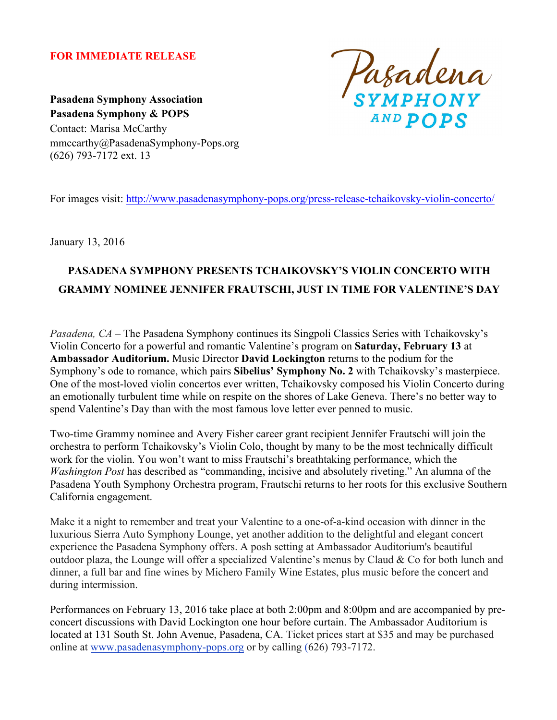## **FOR IMMEDIATE RELEASE**



**Pasadena Symphony Association Pasadena Symphony & POPS** Contact: Marisa McCarthy mmccarthy@PasadenaSymphony-Pops.org (626) 793-7172 ext. 13

For images visit: http://www.pasadenasymphony-pops.org/press-release-tchaikovsky-violin-concerto/

January 13, 2016

# **PASADENA SYMPHONY PRESENTS TCHAIKOVSKY'S VIOLIN CONCERTO WITH GRAMMY NOMINEE JENNIFER FRAUTSCHI, JUST IN TIME FOR VALENTINE'S DAY**

*Pasadena, CA* – The Pasadena Symphony continues its Singpoli Classics Series with Tchaikovsky's Violin Concerto for a powerful and romantic Valentine's program on **Saturday, February 13** at **Ambassador Auditorium.** Music Director **David Lockington** returns to the podium for the Symphony's ode to romance, which pairs **Sibelius' Symphony No. 2** with Tchaikovsky's masterpiece. One of the most-loved violin concertos ever written, Tchaikovsky composed his Violin Concerto during an emotionally turbulent time while on respite on the shores of Lake Geneva. There's no better way to spend Valentine's Day than with the most famous love letter ever penned to music.

Two-time Grammy nominee and Avery Fisher career grant recipient Jennifer Frautschi will join the orchestra to perform Tchaikovsky's Violin Colo, thought by many to be the most technically difficult work for the violin. You won't want to miss Frautschi's breathtaking performance, which the *Washington Post* has described as "commanding, incisive and absolutely riveting." An alumna of the Pasadena Youth Symphony Orchestra program, Frautschi returns to her roots for this exclusive Southern California engagement.

Make it a night to remember and treat your Valentine to a one-of-a-kind occasion with dinner in the luxurious Sierra Auto Symphony Lounge, yet another addition to the delightful and elegant concert experience the Pasadena Symphony offers. A posh setting at Ambassador Auditorium's beautiful outdoor plaza, the Lounge will offer a specialized Valentine's menus by Claud & Co for both lunch and dinner, a full bar and fine wines by Michero Family Wine Estates, plus music before the concert and during intermission.

Performances on February 13, 2016 take place at both 2:00pm and 8:00pm and are accompanied by preconcert discussions with David Lockington one hour before curtain. The Ambassador Auditorium is located at 131 South St. John Avenue, Pasadena, CA. Ticket prices start at \$35 and may be purchased online at www.pasadenasymphony-pops.org or by calling (626) 793-7172.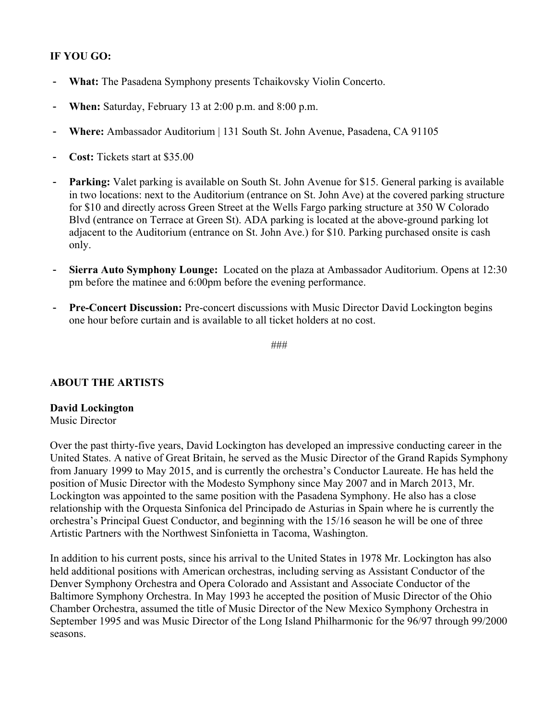## **IF YOU GO:**

- What: The Pasadena Symphony presents Tchaikovsky Violin Concerto.
- **When:** Saturday, February 13 at 2:00 p.m. and 8:00 p.m.
- **Where:** Ambassador Auditorium | 131 South St. John Avenue, Pasadena, CA 91105
- **Cost:** Tickets start at \$35.00
- **Parking:** Valet parking is available on South St. John Avenue for \$15. General parking is available in two locations: next to the Auditorium (entrance on St. John Ave) at the covered parking structure for \$10 and directly across Green Street at the Wells Fargo parking structure at 350 W Colorado Blvd (entrance on Terrace at Green St). ADA parking is located at the above-ground parking lot adjacent to the Auditorium (entrance on St. John Ave.) for \$10. Parking purchased onsite is cash only.
- **Sierra Auto Symphony Lounge:** Located on the plaza at Ambassador Auditorium. Opens at 12:30 pm before the matinee and 6:00pm before the evening performance.
- **Pre-Concert Discussion:** Pre-concert discussions with Music Director David Lockington begins one hour before curtain and is available to all ticket holders at no cost.

###

### **ABOUT THE ARTISTS**

### **David Lockington**

#### Music Director

Over the past thirty-five years, David Lockington has developed an impressive conducting career in the United States. A native of Great Britain, he served as the Music Director of the Grand Rapids Symphony from January 1999 to May 2015, and is currently the orchestra's Conductor Laureate. He has held the position of Music Director with the Modesto Symphony since May 2007 and in March 2013, Mr. Lockington was appointed to the same position with the Pasadena Symphony. He also has a close relationship with the Orquesta Sinfonica del Principado de Asturias in Spain where he is currently the orchestra's Principal Guest Conductor, and beginning with the 15/16 season he will be one of three Artistic Partners with the Northwest Sinfonietta in Tacoma, Washington.

In addition to his current posts, since his arrival to the United States in 1978 Mr. Lockington has also held additional positions with American orchestras, including serving as Assistant Conductor of the Denver Symphony Orchestra and Opera Colorado and Assistant and Associate Conductor of the Baltimore Symphony Orchestra. In May 1993 he accepted the position of Music Director of the Ohio Chamber Orchestra, assumed the title of Music Director of the New Mexico Symphony Orchestra in September 1995 and was Music Director of the Long Island Philharmonic for the 96/97 through 99/2000 seasons.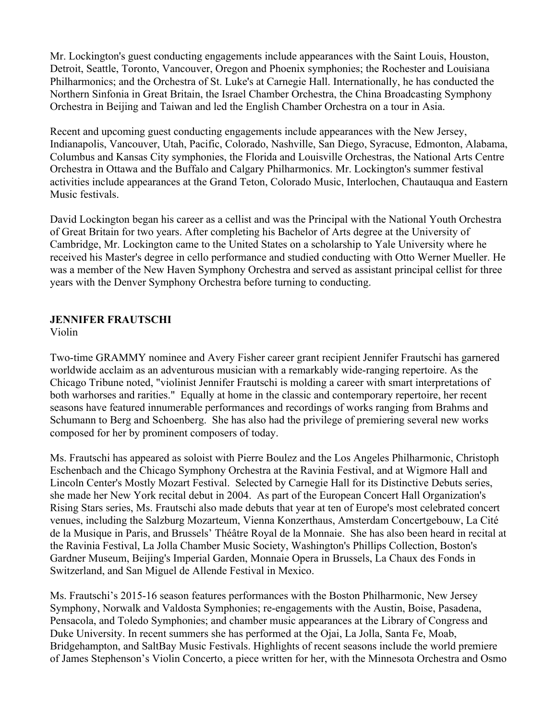Mr. Lockington's guest conducting engagements include appearances with the Saint Louis, Houston, Detroit, Seattle, Toronto, Vancouver, Oregon and Phoenix symphonies; the Rochester and Louisiana Philharmonics; and the Orchestra of St. Luke's at Carnegie Hall. Internationally, he has conducted the Northern Sinfonia in Great Britain, the Israel Chamber Orchestra, the China Broadcasting Symphony Orchestra in Beijing and Taiwan and led the English Chamber Orchestra on a tour in Asia.

Recent and upcoming guest conducting engagements include appearances with the New Jersey, Indianapolis, Vancouver, Utah, Pacific, Colorado, Nashville, San Diego, Syracuse, Edmonton, Alabama, Columbus and Kansas City symphonies, the Florida and Louisville Orchestras, the National Arts Centre Orchestra in Ottawa and the Buffalo and Calgary Philharmonics. Mr. Lockington's summer festival activities include appearances at the Grand Teton, Colorado Music, Interlochen, Chautauqua and Eastern Music festivals.

David Lockington began his career as a cellist and was the Principal with the National Youth Orchestra of Great Britain for two years. After completing his Bachelor of Arts degree at the University of Cambridge, Mr. Lockington came to the United States on a scholarship to Yale University where he received his Master's degree in cello performance and studied conducting with Otto Werner Mueller. He was a member of the New Haven Symphony Orchestra and served as assistant principal cellist for three years with the Denver Symphony Orchestra before turning to conducting.

## **JENNIFER FRAUTSCHI**

Violin

Two-time GRAMMY nominee and Avery Fisher career grant recipient Jennifer Frautschi has garnered worldwide acclaim as an adventurous musician with a remarkably wide-ranging repertoire. As the Chicago Tribune noted, "violinist Jennifer Frautschi is molding a career with smart interpretations of both warhorses and rarities." Equally at home in the classic and contemporary repertoire, her recent seasons have featured innumerable performances and recordings of works ranging from Brahms and Schumann to Berg and Schoenberg. She has also had the privilege of premiering several new works composed for her by prominent composers of today.

Ms. Frautschi has appeared as soloist with Pierre Boulez and the Los Angeles Philharmonic, Christoph Eschenbach and the Chicago Symphony Orchestra at the Ravinia Festival, and at Wigmore Hall and Lincoln Center's Mostly Mozart Festival. Selected by Carnegie Hall for its Distinctive Debuts series, she made her New York recital debut in 2004. As part of the European Concert Hall Organization's Rising Stars series, Ms. Frautschi also made debuts that year at ten of Europe's most celebrated concert venues, including the Salzburg Mozarteum, Vienna Konzerthaus, Amsterdam Concertgebouw, La Cité de la Musique in Paris, and Brussels' Théâtre Royal de la Monnaie. She has also been heard in recital at the Ravinia Festival, La Jolla Chamber Music Society, Washington's Phillips Collection, Boston's Gardner Museum, Beijing's Imperial Garden, Monnaie Opera in Brussels, La Chaux des Fonds in Switzerland, and San Miguel de Allende Festival in Mexico.

Ms. Frautschi's 2015-16 season features performances with the Boston Philharmonic, New Jersey Symphony, Norwalk and Valdosta Symphonies; re-engagements with the Austin, Boise, Pasadena, Pensacola, and Toledo Symphonies; and chamber music appearances at the Library of Congress and Duke University. In recent summers she has performed at the Ojai, La Jolla, Santa Fe, Moab, Bridgehampton, and SaltBay Music Festivals. Highlights of recent seasons include the world premiere of James Stephenson's Violin Concerto, a piece written for her, with the Minnesota Orchestra and Osmo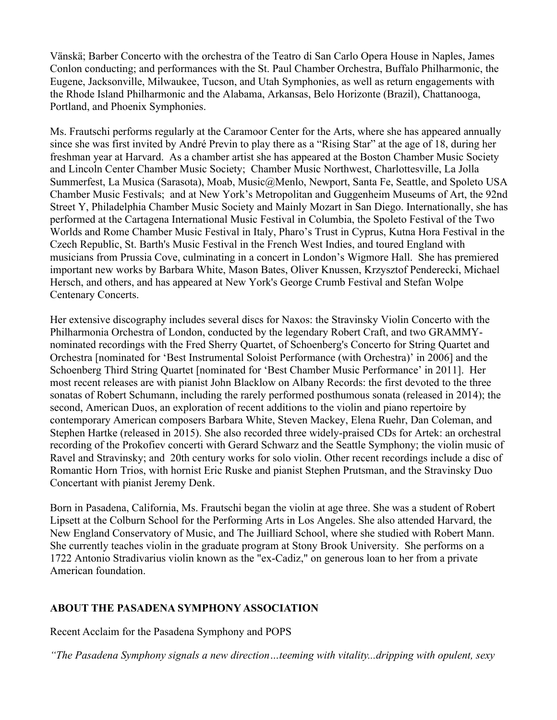Vänskä; Barber Concerto with the orchestra of the Teatro di San Carlo Opera House in Naples, James Conlon conducting; and performances with the St. Paul Chamber Orchestra, Buffalo Philharmonic, the Eugene, Jacksonville, Milwaukee, Tucson, and Utah Symphonies, as well as return engagements with the Rhode Island Philharmonic and the Alabama, Arkansas, Belo Horizonte (Brazil), Chattanooga, Portland, and Phoenix Symphonies.

Ms. Frautschi performs regularly at the Caramoor Center for the Arts, where she has appeared annually since she was first invited by André Previn to play there as a "Rising Star" at the age of 18, during her freshman year at Harvard. As a chamber artist she has appeared at the Boston Chamber Music Society and Lincoln Center Chamber Music Society; Chamber Music Northwest, Charlottesville, La Jolla Summerfest, La Musica (Sarasota), Moab, Music@Menlo, Newport, Santa Fe, Seattle, and Spoleto USA Chamber Music Festivals; and at New York's Metropolitan and Guggenheim Museums of Art, the 92nd Street Y, Philadelphia Chamber Music Society and Mainly Mozart in San Diego. Internationally, she has performed at the Cartagena International Music Festival in Columbia, the Spoleto Festival of the Two Worlds and Rome Chamber Music Festival in Italy, Pharo's Trust in Cyprus, Kutna Hora Festival in the Czech Republic, St. Barth's Music Festival in the French West Indies, and toured England with musicians from Prussia Cove, culminating in a concert in London's Wigmore Hall. She has premiered important new works by Barbara White, Mason Bates, Oliver Knussen, Krzysztof Penderecki, Michael Hersch, and others, and has appeared at New York's George Crumb Festival and Stefan Wolpe Centenary Concerts.

Her extensive discography includes several discs for Naxos: the Stravinsky Violin Concerto with the Philharmonia Orchestra of London, conducted by the legendary Robert Craft, and two GRAMMYnominated recordings with the Fred Sherry Quartet, of Schoenberg's Concerto for String Quartet and Orchestra [nominated for 'Best Instrumental Soloist Performance (with Orchestra)' in 2006] and the Schoenberg Third String Quartet [nominated for 'Best Chamber Music Performance' in 2011]. Her most recent releases are with pianist John Blacklow on Albany Records: the first devoted to the three sonatas of Robert Schumann, including the rarely performed posthumous sonata (released in 2014); the second, American Duos, an exploration of recent additions to the violin and piano repertoire by contemporary American composers Barbara White, Steven Mackey, Elena Ruehr, Dan Coleman, and Stephen Hartke (released in 2015). She also recorded three widely-praised CDs for Artek: an orchestral recording of the Prokofiev concerti with Gerard Schwarz and the Seattle Symphony; the violin music of Ravel and Stravinsky; and 20th century works for solo violin. Other recent recordings include a disc of Romantic Horn Trios, with hornist Eric Ruske and pianist Stephen Prutsman, and the Stravinsky Duo Concertant with pianist Jeremy Denk.

Born in Pasadena, California, Ms. Frautschi began the violin at age three. She was a student of Robert Lipsett at the Colburn School for the Performing Arts in Los Angeles. She also attended Harvard, the New England Conservatory of Music, and The Juilliard School, where she studied with Robert Mann. She currently teaches violin in the graduate program at Stony Brook University. She performs on a 1722 Antonio Stradivarius violin known as the "ex-Cadiz," on generous loan to her from a private American foundation.

## **ABOUT THE PASADENA SYMPHONY ASSOCIATION**

Recent Acclaim for the Pasadena Symphony and POPS

*"The Pasadena Symphony signals a new direction…teeming with vitality...dripping with opulent, sexy*